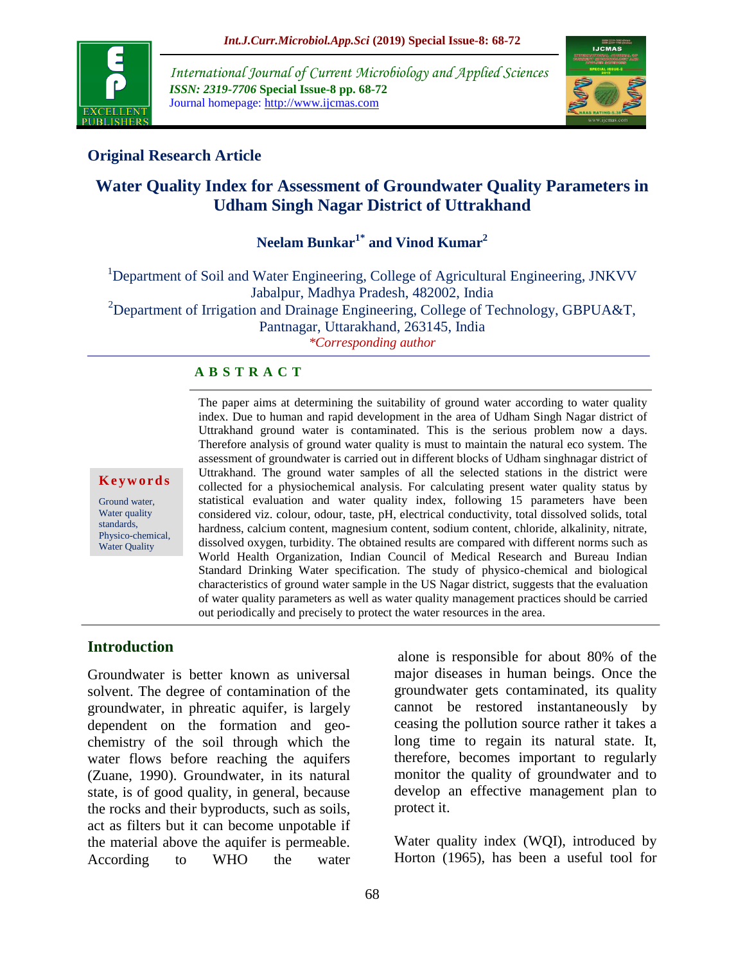

*International Journal of Current Microbiology and Applied Sciences ISSN: 2319-7706* **Special Issue-8 pp. 68-72** Journal homepage: http://www.ijcmas.com



## **Original Research Article**

# **Water Quality Index for Assessment of Groundwater Quality Parameters in Udham Singh Nagar District of Uttrakhand**

**Neelam Bunkar1\* and Vinod Kumar<sup>2</sup>**

<sup>1</sup>Department of Soil and Water Engineering, College of Agricultural Engineering, JNKVV Jabalpur, Madhya Pradesh, 482002, India <sup>2</sup>Department of Irrigation and Drainage Engineering, College of Technology, GBPUA&T, Pantnagar, Uttarakhand, 263145, India *\*Corresponding author*

### **A B S T R A C T**

#### **K e y w o r d s**

Ground water, Water quality standards, Physico-chemical, Water Quality

The paper aims at determining the suitability of ground water according to water quality index. Due to human and rapid development in the area of Udham Singh Nagar district of Uttrakhand ground water is contaminated. This is the serious problem now a days. Therefore analysis of ground water quality is must to maintain the natural eco system. The assessment of groundwater is carried out in different blocks of Udham singhnagar district of Uttrakhand. The ground water samples of all the selected stations in the district were collected for a physiochemical analysis. For calculating present water quality status by statistical evaluation and water quality index, following 15 parameters have been considered viz. colour, odour, taste, pH, electrical conductivity, total dissolved solids, total hardness, calcium content, magnesium content, sodium content, chloride, alkalinity, nitrate, dissolved oxygen, turbidity. The obtained results are compared with different norms such as World Health Organization, Indian Council of Medical Research and Bureau Indian Standard Drinking Water specification. The study of physico-chemical and biological characteristics of ground water sample in the US Nagar district, suggests that the evaluation of water quality parameters as well as water quality management practices should be carried out periodically and precisely to protect the water resources in the area*.*

### **Introduction**

Groundwater is better known as universal solvent. The degree of contamination of the groundwater, in phreatic aquifer, is largely dependent on the formation and geochemistry of the soil through which the water flows before reaching the aquifers (Zuane, 1990). Groundwater, in its natural state, is of good quality, in general, because the rocks and their byproducts, such as soils, act as filters but it can become unpotable if the material above the aquifer is permeable. According to WHO the water

alone is responsible for about 80% of the major diseases in human beings. Once the groundwater gets contaminated, its quality cannot be restored instantaneously by ceasing the pollution source rather it takes a long time to regain its natural state. It, therefore, becomes important to regularly monitor the quality of groundwater and to develop an effective management plan to protect it.

Water quality index (WQI), introduced by Horton (1965), has been a useful tool for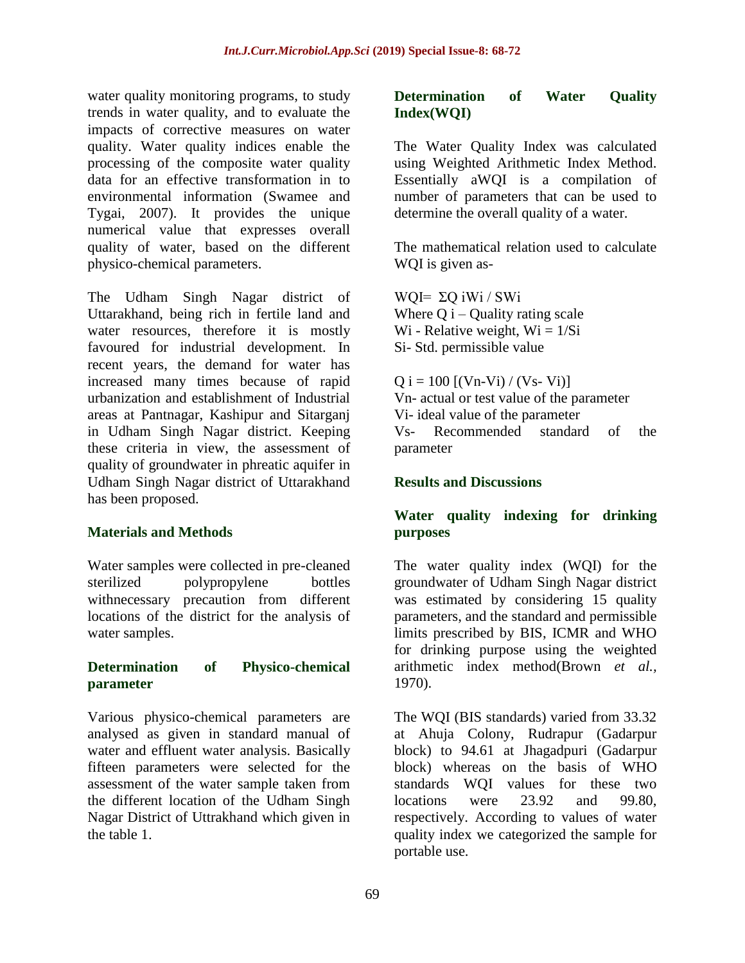water quality monitoring programs, to study trends in water quality, and to evaluate the impacts of corrective measures on water quality. Water quality indices enable the processing of the composite water quality data for an effective transformation in to environmental information (Swamee and Tygai, 2007). It provides the unique numerical value that expresses overall quality of water, based on the different physico-chemical parameters.

The Udham Singh Nagar district of Uttarakhand, being rich in fertile land and water resources, therefore it is mostly favoured for industrial development. In recent years, the demand for water has increased many times because of rapid urbanization and establishment of Industrial areas at Pantnagar, Kashipur and Sitarganj in Udham Singh Nagar district. Keeping these criteria in view, the assessment of quality of groundwater in phreatic aquifer in Udham Singh Nagar district of Uttarakhand has been proposed.

### **Materials and Methods**

Water samples were collected in pre-cleaned sterilized polypropylene bottles withnecessary precaution from different locations of the district for the analysis of water samples.

#### **Determination of Physico-chemical parameter**

Various physico-chemical parameters are analysed as given in standard manual of water and effluent water analysis. Basically fifteen parameters were selected for the assessment of the water sample taken from the different location of the Udham Singh Nagar District of Uttrakhand which given in the table 1.

#### **Determination of Water Quality Index(WQI)**

The Water Quality Index was calculated using Weighted Arithmetic Index Method. Essentially aWQI is a compilation of number of parameters that can be used to determine the overall quality of a water.

The mathematical relation used to calculate WQI is given as-

WQI=  $\Sigma$ Q iWi / SWi Where  $Q$  i – Quality rating scale Wi - Relative weight,  $Wi = 1/Si$ Si- Std. permissible value

 $Q i = 100$  [(Vn-Vi) / (Vs- Vi)] Vn- actual or test value of the parameter Vi- ideal value of the parameter Vs- Recommended standard of the parameter

#### **Results and Discussions**

### **Water quality indexing for drinking purposes**

The water quality index (WQI) for the groundwater of Udham Singh Nagar district was estimated by considering 15 quality parameters, and the standard and permissible limits prescribed by BIS, ICMR and WHO for drinking purpose using the weighted arithmetic index method(Brown *et al.,* 1970).

The WQI (BIS standards) varied from 33.32 at Ahuja Colony, Rudrapur (Gadarpur block) to 94.61 at Jhagadpuri (Gadarpur block) whereas on the basis of WHO standards WQI values for these two locations were 23.92 and 99.80 respectively. According to values of water quality index we categorized the sample for portable use.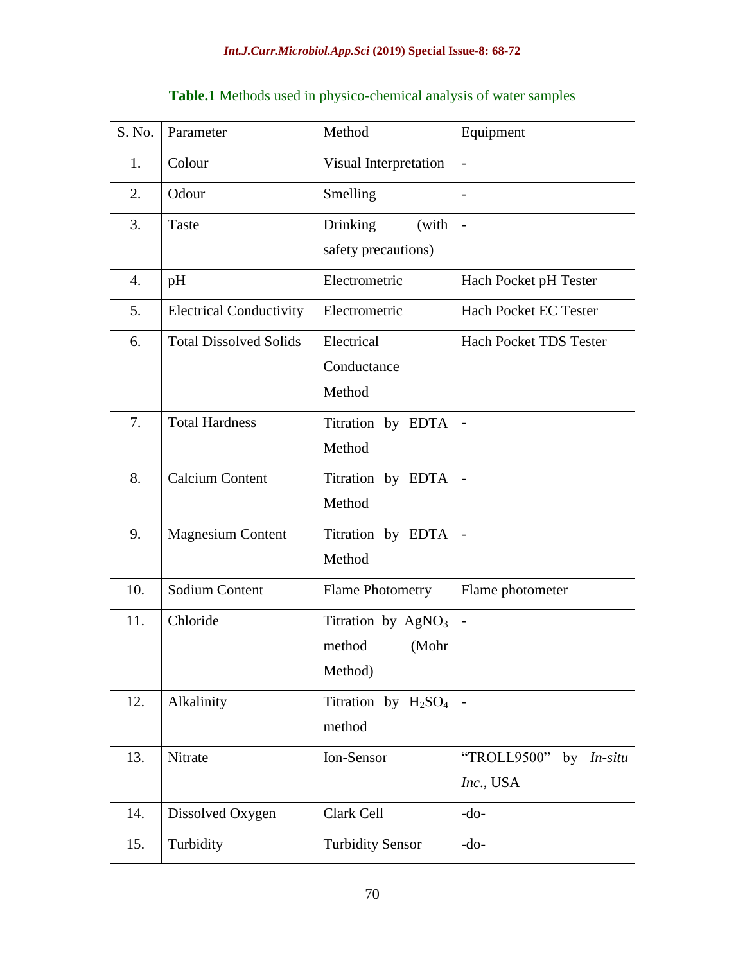| S. No. | Parameter                      | Method                  | Equipment                     |
|--------|--------------------------------|-------------------------|-------------------------------|
| 1.     | Colour                         | Visual Interpretation   | $\overline{a}$                |
| 2.     | Odour                          | Smelling                | $\overline{\phantom{0}}$      |
| 3.     | Taste                          | Drinking<br>(with       | $\overline{a}$                |
|        |                                | safety precautions)     |                               |
| 4.     | pH                             | Electrometric           | Hach Pocket pH Tester         |
| 5.     | <b>Electrical Conductivity</b> | Electrometric           | <b>Hach Pocket EC Tester</b>  |
| 6.     | <b>Total Dissolved Solids</b>  | Electrical              | <b>Hach Pocket TDS Tester</b> |
|        |                                | Conductance             |                               |
|        |                                | Method                  |                               |
| 7.     | <b>Total Hardness</b>          | Titration by EDTA       | $\overline{\phantom{0}}$      |
|        |                                | Method                  |                               |
| 8.     | <b>Calcium Content</b>         | Titration by EDTA       |                               |
|        |                                | Method                  |                               |
| 9.     | <b>Magnesium Content</b>       | Titration by EDTA       |                               |
|        |                                | Method                  |                               |
| 10.    | Sodium Content                 | <b>Flame Photometry</b> | Flame photometer              |
| 11.    | Chloride                       | Titration by $AgNO3$    | $\overline{a}$                |
|        |                                | method<br>(Mohr         |                               |
|        |                                | Method)                 |                               |
| 12.    | Alkalinity                     | Titration by $H_2SO_4$  | $\overline{\phantom{a}}$      |
|        |                                | method                  |                               |
| 13.    | Nitrate                        | Ion-Sensor              | "TROLL9500"<br>by $In-situ$   |
|        |                                |                         | Inc., USA                     |
| 14.    | Dissolved Oxygen               | Clark Cell              | $-do-$                        |
| 15.    | Turbidity                      | <b>Turbidity Sensor</b> | $-do-$                        |

## **Table.1** Methods used in physico-chemical analysis of water samples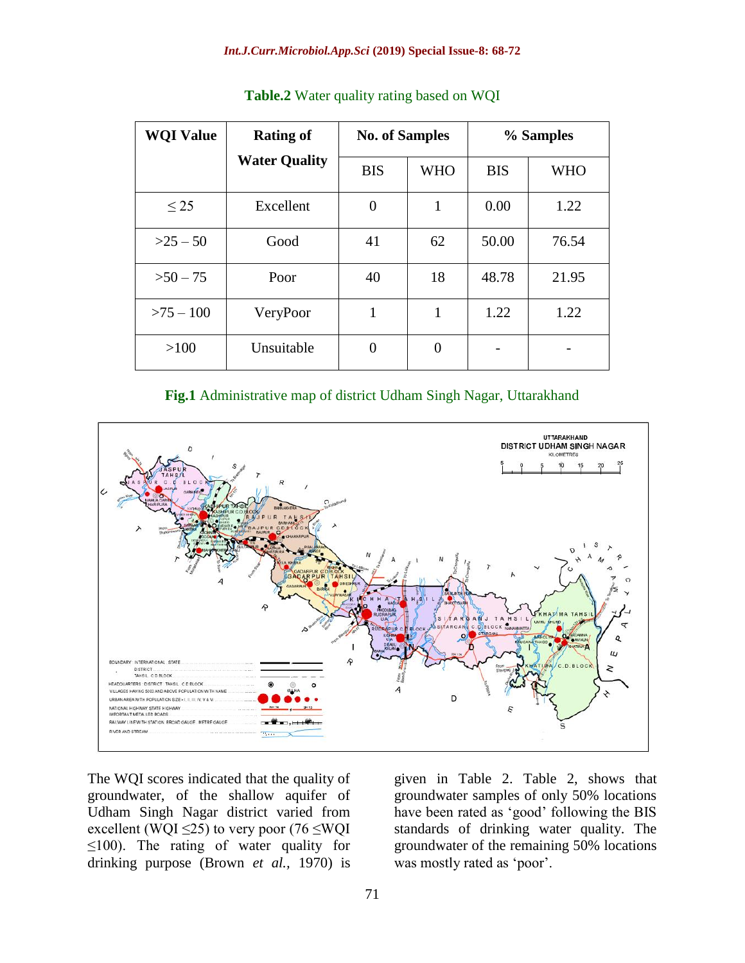| <b>WQI Value</b> | <b>Rating of</b>     | <b>No. of Samples</b> |            | % Samples  |            |
|------------------|----------------------|-----------------------|------------|------------|------------|
|                  | <b>Water Quality</b> | <b>BIS</b>            | <b>WHO</b> | <b>BIS</b> | <b>WHO</b> |
| $\leq$ 25        | Excellent            | $\overline{0}$        |            | 0.00       | 1.22       |
| $>25-50$         | Good                 | 41                    | 62         | 50.00      | 76.54      |
| $>50-75$         | Poor                 | 40                    | 18         | 48.78      | 21.95      |
| $>75 - 100$      | VeryPoor             | 1                     | 1          | 1.22       | 1.22       |
| >100             | Unsuitable           | $\overline{0}$        | $\theta$   |            |            |

**Table.2** Water quality rating based on WQI

#### **Fig.1** Administrative map of district Udham Singh Nagar, Uttarakhand



The WQI scores indicated that the quality of groundwater, of the shallow aquifer of Udham Singh Nagar district varied from excellent (WQI  $\leq$ 25) to very poor (76  $\leq$ WQI  $\leq$ 100). The rating of water quality for drinking purpose (Brown *et al.,* 1970) is

given in Table 2. Table 2, shows that groundwater samples of only 50% locations have been rated as 'good' following the BIS standards of drinking water quality. The groundwater of the remaining 50% locations was mostly rated as 'poor'.